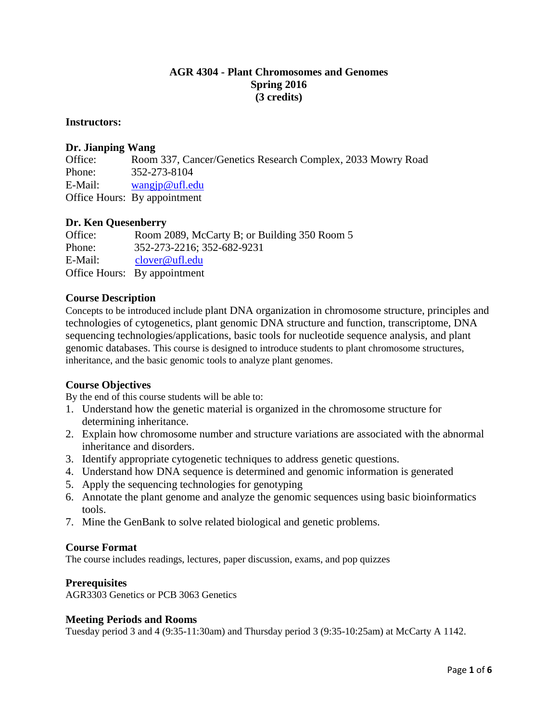# **AGR 4304 - Plant Chromosomes and Genomes Spring 2016 (3 credits)**

#### **Instructors:**

#### **Dr. Jianping Wang**

Office: Room 337, Cancer/Genetics Research Complex, 2033 Mowry Road Phone: 352-273-8104 E-Mail: [wangjp@ufl.edu](mailto:wangjp@ufl.edu) Office Hours: By appointment

# **Dr. Ken Quesenberry**

Office: Room 2089, McCarty B; or Building 350 Room 5 Phone: 352-273-2216; 352-682-9231 E-Mail: [clover@ufl.edu](mailto:clover@ufl.edu) Office Hours: By appointment

#### **Course Description**

Concepts to be introduced include plant DNA organization in chromosome structure, principles and technologies of cytogenetics, plant genomic DNA structure and function, transcriptome, DNA sequencing technologies/applications, basic tools for nucleotide sequence analysis, and plant genomic databases. This course is designed to introduce students to plant chromosome structures, inheritance, and the basic genomic tools to analyze plant genomes.

# **Course Objectives**

By the end of this course students will be able to:

- 1. Understand how the genetic material is organized in the chromosome structure for determining inheritance.
- 2. Explain how chromosome number and structure variations are associated with the abnormal inheritance and disorders.
- 3. Identify appropriate cytogenetic techniques to address genetic questions.
- 4. Understand how DNA sequence is determined and genomic information is generated
- 5. Apply the sequencing technologies for genotyping
- 6. Annotate the plant genome and analyze the genomic sequences using basic bioinformatics tools.
- 7. Mine the GenBank to solve related biological and genetic problems.

#### **Course Format**

The course includes readings, lectures, paper discussion, exams, and pop quizzes

#### **Prerequisites**

AGR3303 Genetics or PCB 3063 Genetics

#### **Meeting Periods and Rooms**

Tuesday period 3 and 4 (9:35-11:30am) and Thursday period 3 (9:35-10:25am) at McCarty A 1142.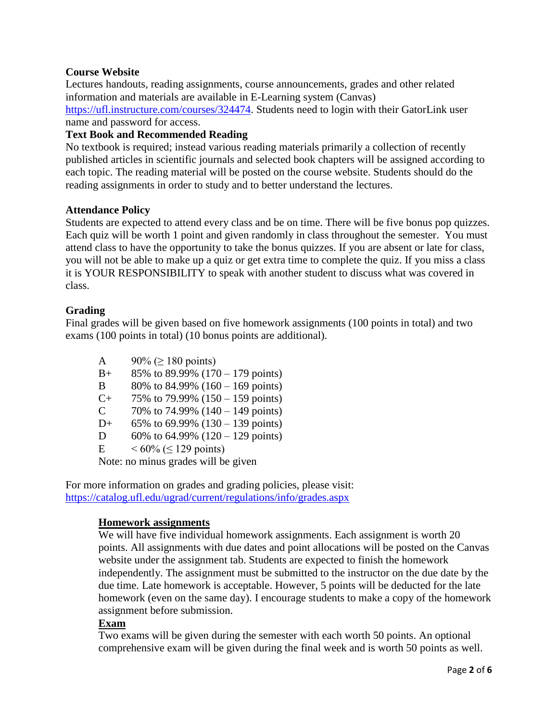# **Course Website**

Lectures handouts, reading assignments, course announcements, grades and other related information and materials are available in E-Learning system (Canvas) [https://ufl.instructure.com/courses/324474.](https://ufl.instructure.com/courses/324474) Students need to login with their GatorLink user name and password for access.

# **Text Book and Recommended Reading**

No textbook is required; instead various reading materials primarily a collection of recently published articles in scientific journals and selected book chapters will be assigned according to each topic. The reading material will be posted on the course website. Students should do the reading assignments in order to study and to better understand the lectures.

#### **Attendance Policy**

Students are expected to attend every class and be on time. There will be five bonus pop quizzes. Each quiz will be worth 1 point and given randomly in class throughout the semester. You must attend class to have the opportunity to take the bonus quizzes. If you are absent or late for class, you will not be able to make up a quiz or get extra time to complete the quiz. If you miss a class it is YOUR RESPONSIBILITY to speak with another student to discuss what was covered in class.

# **Grading**

Final grades will be given based on five homework assignments (100 points in total) and two exams (100 points in total) (10 bonus points are additional).

A  $90\% \ge 180 \text{ points}$  $B_+$  85% to 89.99% (170 – 179 points) B 80% to 84.99%  $(160 - 169 \text{ points})$  $C_+$  75% to 79.99% (150 – 159 points) C  $70\%$  to 74.99% (140 – 149 points) D+ 65% to 69.99%  $(130 - 139 \text{ points})$ D 60% to  $64.99\%$  ( $120 - 129$  points) E  $< 60\% \le 129 \text{ points}$ Note: no minus grades will be given

For more information on grades and grading policies, please visit: <https://catalog.ufl.edu/ugrad/current/regulations/info/grades.aspx>

# **Homework assignments**

We will have five individual homework assignments. Each assignment is worth 20 points. All assignments with due dates and point allocations will be posted on the Canvas website under the assignment tab. Students are expected to finish the homework independently. The assignment must be submitted to the instructor on the due date by the due time. Late homework is acceptable. However, 5 points will be deducted for the late homework (even on the same day). I encourage students to make a copy of the homework assignment before submission.

#### **Exam**

Two exams will be given during the semester with each worth 50 points. An optional comprehensive exam will be given during the final week and is worth 50 points as well.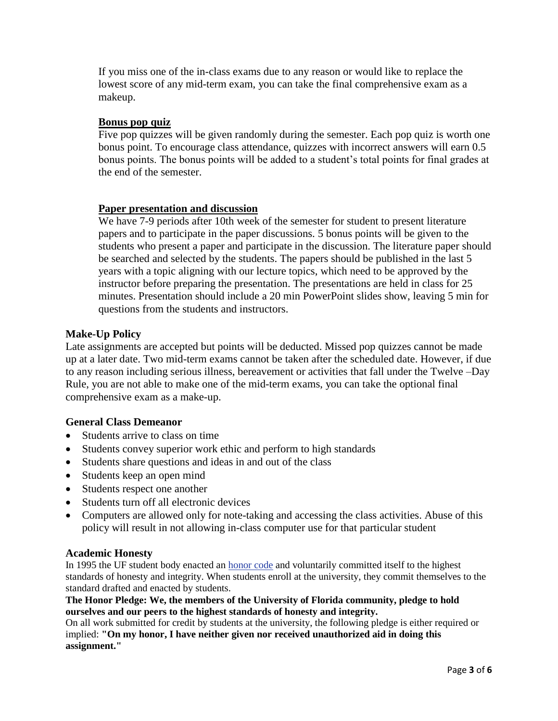If you miss one of the in-class exams due to any reason or would like to replace the lowest score of any mid-term exam, you can take the final comprehensive exam as a makeup.

# **Bonus pop quiz**

Five pop quizzes will be given randomly during the semester. Each pop quiz is worth one bonus point. To encourage class attendance, quizzes with incorrect answers will earn 0.5 bonus points. The bonus points will be added to a student's total points for final grades at the end of the semester.

# **Paper presentation and discussion**

We have 7-9 periods after 10th week of the semester for student to present literature papers and to participate in the paper discussions. 5 bonus points will be given to the students who present a paper and participate in the discussion. The literature paper should be searched and selected by the students. The papers should be published in the last 5 years with a topic aligning with our lecture topics, which need to be approved by the instructor before preparing the presentation. The presentations are held in class for 25 minutes. Presentation should include a 20 min PowerPoint slides show, leaving 5 min for questions from the students and instructors.

# **Make-Up Policy**

Late assignments are accepted but points will be deducted. Missed pop quizzes cannot be made up at a later date. Two mid-term exams cannot be taken after the scheduled date. However, if due to any reason including serious illness, bereavement or activities that fall under the Twelve –Day Rule, you are not able to make one of the mid-term exams, you can take the optional final comprehensive exam as a make-up.

# **General Class Demeanor**

- Students arrive to class on time
- Students convey superior work ethic and perform to high standards
- Students share questions and ideas in and out of the class
- Students keep an open mind
- Students respect one another
- Students turn off all electronic devices
- Computers are allowed only for note-taking and accessing the class activities. Abuse of this policy will result in not allowing in-class computer use for that particular student

# **Academic Honesty**

In 1995 the UF student body enacted an **honor code** and voluntarily committed itself to the highest standards of honesty and integrity. When students enroll at the university, they commit themselves to the standard drafted and enacted by students.

#### **The Honor Pledge: We, the members of the University of Florida community, pledge to hold ourselves and our peers to the highest standards of honesty and integrity.**

On all work submitted for credit by students at the university, the following pledge is either required or implied: **"On my honor, I have neither given nor received unauthorized aid in doing this assignment."**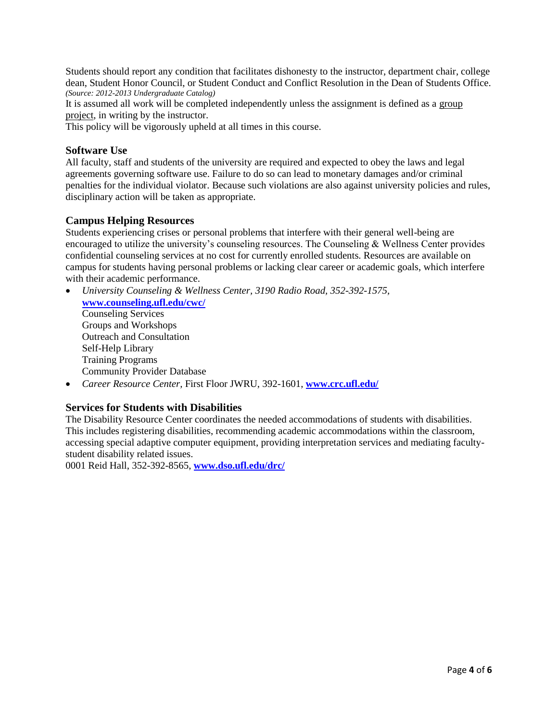Students should report any condition that facilitates dishonesty to the instructor, department chair, college dean, Student Honor Council, or Student Conduct and Conflict Resolution in the Dean of Students Office. *(Source: 2012-2013 Undergraduate Catalog)*

It is assumed all work will be completed independently unless the assignment is defined as a group project, in writing by the instructor.

This policy will be vigorously upheld at all times in this course.

#### **Software Use**

All faculty, staff and students of the university are required and expected to obey the laws and legal agreements governing software use. Failure to do so can lead to monetary damages and/or criminal penalties for the individual violator. Because such violations are also against university policies and rules, disciplinary action will be taken as appropriate.

#### **Campus Helping Resources**

Students experiencing crises or personal problems that interfere with their general well-being are encouraged to utilize the university's counseling resources. The Counseling & Wellness Center provides confidential counseling services at no cost for currently enrolled students. Resources are available on campus for students having personal problems or lacking clear career or academic goals, which interfere with their academic performance.

- *University Counseling & Wellness Center, 3190 Radio Road, 352-392-1575,* **[www.counseling.ufl.edu/cwc/](http://www.counseling.ufl.edu/cwc/)** Counseling Services Groups and Workshops Outreach and Consultation Self-Help Library Training Programs Community Provider Database
- *Career Resource Center,* First Floor JWRU, 392-1601, **[www.crc.ufl.edu/](http://www.crc.ufl.edu/)**

# **Services for Students with Disabilities**

The Disability Resource Center coordinates the needed accommodations of students with disabilities. This includes registering disabilities, recommending academic accommodations within the classroom, accessing special adaptive computer equipment, providing interpretation services and mediating facultystudent disability related issues.

0001 Reid Hall, 352-392-8565, **[www.dso.ufl.edu/drc/](http://www.dso.ufl.edu/drc/)**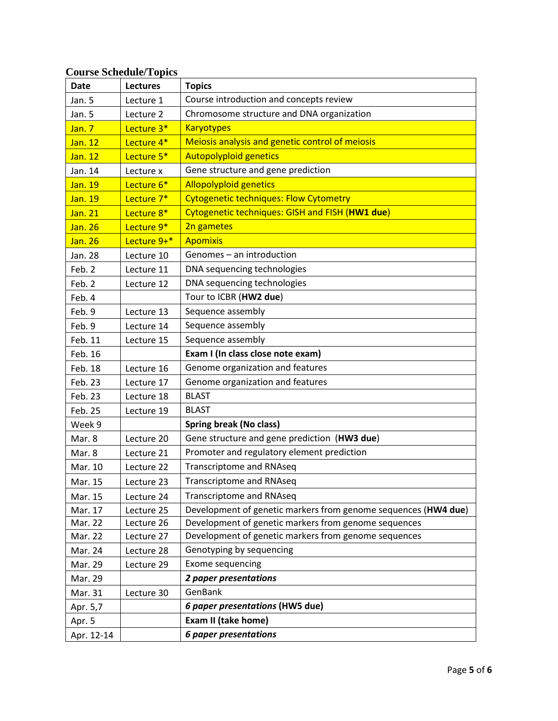# **Course Schedule/Topics**

| <b>Date</b> | <b>Lectures</b> | <b>Topics</b>                                                  |
|-------------|-----------------|----------------------------------------------------------------|
| Jan. 5      | Lecture 1       | Course introduction and concepts review                        |
| Jan. 5      | Lecture 2       | Chromosome structure and DNA organization                      |
| Jan. 7      | Lecture 3*      | <b>Karyotypes</b>                                              |
| Jan. 12     | Lecture 4*      | Meiosis analysis and genetic control of meiosis                |
| Jan. 12     | Lecture 5*      | <b>Autopolyploid genetics</b>                                  |
| Jan. 14     | Lecture x       | Gene structure and gene prediction                             |
| Jan. 19     | Lecture 6*      | <b>Allopolyploid genetics</b>                                  |
| Jan. 19     | Lecture 7*      | <b>Cytogenetic techniques: Flow Cytometry</b>                  |
| Jan. 21     | Lecture 8*      | Cytogenetic techniques: GISH and FISH (HW1 due)                |
| Jan. 26     | Lecture 9*      | 2n gametes                                                     |
| Jan. 26     | Lecture 9+*     | <b>Apomixis</b>                                                |
| Jan. 28     | Lecture 10      | Genomes - an introduction                                      |
| Feb. 2      | Lecture 11      | DNA sequencing technologies                                    |
| Feb. 2      | Lecture 12      | DNA sequencing technologies                                    |
| Feb. 4      |                 | Tour to ICBR (HW2 due)                                         |
| Feb. 9      | Lecture 13      | Sequence assembly                                              |
| Feb. 9      | Lecture 14      | Sequence assembly                                              |
| Feb. 11     | Lecture 15      | Sequence assembly                                              |
| Feb. 16     |                 | Exam I (In class close note exam)                              |
| Feb. 18     | Lecture 16      | Genome organization and features                               |
| Feb. 23     | Lecture 17      | Genome organization and features                               |
| Feb. 23     | Lecture 18      | <b>BLAST</b>                                                   |
| Feb. 25     | Lecture 19      | <b>BLAST</b>                                                   |
| Week 9      |                 | <b>Spring break (No class)</b>                                 |
| Mar. 8      | Lecture 20      | Gene structure and gene prediction (HW3 due)                   |
| Mar. 8      | Lecture 21      | Promoter and regulatory element prediction                     |
| Mar. 10     | Lecture 22      | <b>Transcriptome and RNAseq</b>                                |
| Mar. 15     | Lecture 23      | <b>Transcriptome and RNAseq</b>                                |
| Mar. 15     | Lecture 24      | <b>Transcriptome and RNAseq</b>                                |
| Mar. 17     | Lecture 25      | Development of genetic markers from genome sequences (HW4 due) |
| Mar. 22     | Lecture 26      | Development of genetic markers from genome sequences           |
| Mar. 22     | Lecture 27      | Development of genetic markers from genome sequences           |
| Mar. 24     | Lecture 28      | Genotyping by sequencing                                       |
| Mar. 29     | Lecture 29      | Exome sequencing                                               |
| Mar. 29     |                 | 2 paper presentations                                          |
| Mar. 31     | Lecture 30      | GenBank                                                        |
| Apr. 5,7    |                 | 6 paper presentations (HW5 due)                                |
| Apr. 5      |                 | Exam II (take home)                                            |
| Apr. 12-14  |                 | <b>6 paper presentations</b>                                   |